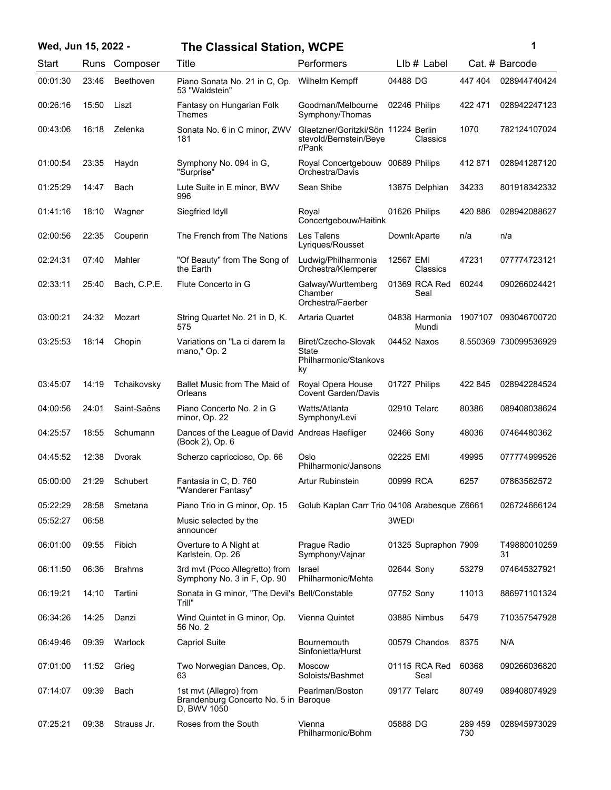| Wed, Jun 15, 2022 - |       |                  | <b>The Classical Station, WCPE</b>                                             |                                                                         |                         |                | 1                     |
|---------------------|-------|------------------|--------------------------------------------------------------------------------|-------------------------------------------------------------------------|-------------------------|----------------|-----------------------|
| Start               |       | Runs Composer    | Title                                                                          | Performers                                                              | LIb # Label             |                | Cat. # Barcode        |
| 00:01:30            | 23:46 | <b>Beethoven</b> | Piano Sonata No. 21 in C, Op.<br>53 "Waldstein"                                | Wilhelm Kempff                                                          | 04488 DG                | 447 404        | 028944740424          |
| 00:26:16            | 15:50 | Liszt            | Fantasy on Hungarian Folk<br>Themes                                            | Goodman/Melbourne<br>Symphony/Thomas                                    | 02246 Philips           | 422 471        | 028942247123          |
| 00:43:06            | 16:18 | Zelenka          | Sonata No. 6 in C minor, ZWV<br>181                                            | Glaetzner/Goritzki/Sön 11224 Berlin<br>stevold/Bernstein/Beye<br>r/Pank | Classics                | 1070           | 782124107024          |
| 01:00:54            | 23:35 | Haydn            | Symphony No. 094 in G,<br>"Surprise"                                           | Royal Concertgebouw<br>Orchestra/Davis                                  | 00689 Philips           | 412 871        | 028941287120          |
| 01:25:29            | 14:47 | Bach             | Lute Suite in E minor, BWV<br>996                                              | Sean Shibe                                                              | 13875 Delphian          | 34233          | 801918342332          |
| 01:41:16            | 18:10 | Wagner           | Siegfried Idyll                                                                | Royal<br>Concertgebouw/Haitink                                          | 01626 Philips           | 420 886        | 028942088627          |
| 02:00:56            | 22:35 | Couperin         | The French from The Nations                                                    | Les Talens<br>Lyriques/Rousset                                          | Downk Aparte            | n/a            | n/a                   |
| 02:24:31            | 07:40 | Mahler           | "Of Beauty" from The Song of<br>the Earth                                      | Ludwig/Philharmonia<br>Orchestra/Klemperer                              | 12567 EMI<br>Classics   | 47231          | 077774723121          |
| 02:33:11            | 25:40 | Bach, C.P.E.     | Flute Concerto in G                                                            | Galway/Wurttemberg<br>Chamber<br>Orchestra/Faerber                      | 01369 RCA Red<br>Seal   | 60244          | 090266024421          |
| 03:00:21            | 24:32 | Mozart           | String Quartet No. 21 in D. K.<br>575                                          | Artaria Quartet                                                         | 04838 Harmonia<br>Mundi | 1907107        | 093046700720          |
| 03:25:53            | 18:14 | Chopin           | Variations on "La ci darem la<br>mano," Op. 2                                  | Biret/Czecho-Slovak<br><b>State</b><br>Philharmonic/Stankovs<br>ky      | 04452 Naxos             |                | 8.550369 730099536929 |
| 03:45:07            | 14:19 | Tchaikovsky      | Ballet Music from The Maid of<br>Orleans                                       | Royal Opera House<br><b>Covent Garden/Davis</b>                         | 01727 Philips           | 422 845        | 028942284524          |
| 04:00:56            | 24:01 | Saint-Saëns      | Piano Concerto No. 2 in G<br>minor, Op. 22                                     | Watts/Atlanta<br>Symphony/Levi                                          | 02910 Telarc            | 80386          | 089408038624          |
| 04:25:57            | 18:55 | Schumann         | Dances of the League of David Andreas Haefliger<br>(Book 2), Op. 6             |                                                                         | 02466 Sony              | 48036          | 07464480362           |
| 04:45:52            | 12:38 | Dvorak           | Scherzo capriccioso, Op. 66                                                    | Oslo<br>Philharmonic/Jansons                                            | 02225 EMI               | 49995          | 077774999526          |
| 05:00:00            | 21:29 | Schubert         | Fantasia in C, D. 760<br>"Wanderer Fantasy'                                    | <b>Artur Rubinstein</b>                                                 | 00999 RCA               | 6257           | 07863562572           |
| 05:22:29            | 28:58 | Smetana          | Piano Trio in G minor, Op. 15                                                  | Golub Kaplan Carr Trio 04108 Arabesque Z6661                            |                         |                | 026724666124          |
| 05:52:27            | 06:58 |                  | Music selected by the<br>announcer                                             |                                                                         | 3WED                    |                |                       |
| 06:01:00            | 09:55 | Fibich           | Overture to A Night at<br>Karlstein, Op. 26                                    | Prague Radio<br>Symphony/Vajnar                                         | 01325 Supraphon 7909    |                | T49880010259<br>31    |
| 06:11:50            | 06:36 | <b>Brahms</b>    | 3rd mvt (Poco Allegretto) from<br>Symphony No. 3 in F, Op. 90                  | <b>Israel</b><br>Philharmonic/Mehta                                     | 02644 Sony              | 53279          | 074645327921          |
| 06:19:21            | 14:10 | Tartini          | Sonata in G minor, "The Devil's Bell/Constable<br>Trill"                       |                                                                         | 07752 Sony              | 11013          | 886971101324          |
| 06:34:26            | 14:25 | Danzi            | Wind Quintet in G minor, Op.<br>56 No. 2                                       | Vienna Quintet                                                          | 03885 Nimbus            | 5479           | 710357547928          |
| 06:49:46            | 09:39 | Warlock          | <b>Capriol Suite</b>                                                           | Bournemouth<br>Sinfonietta/Hurst                                        | 00579 Chandos           | 8375           | N/A                   |
| 07:01:00            | 11:52 | Grieg            | Two Norwegian Dances, Op.<br>63                                                | <b>Moscow</b><br>Soloists/Bashmet                                       | 01115 RCA Red<br>Seal   | 60368          | 090266036820          |
| 07:14:07            | 09:39 | Bach             | 1st mvt (Allegro) from<br>Brandenburg Concerto No. 5 in Baroque<br>D, BWV 1050 | Pearlman/Boston                                                         | 09177 Telarc            | 80749          | 089408074929          |
| 07:25:21            | 09:38 | Strauss Jr.      | Roses from the South                                                           | Vienna<br>Philharmonic/Bohm                                             | 05888 DG                | 289 459<br>730 | 028945973029          |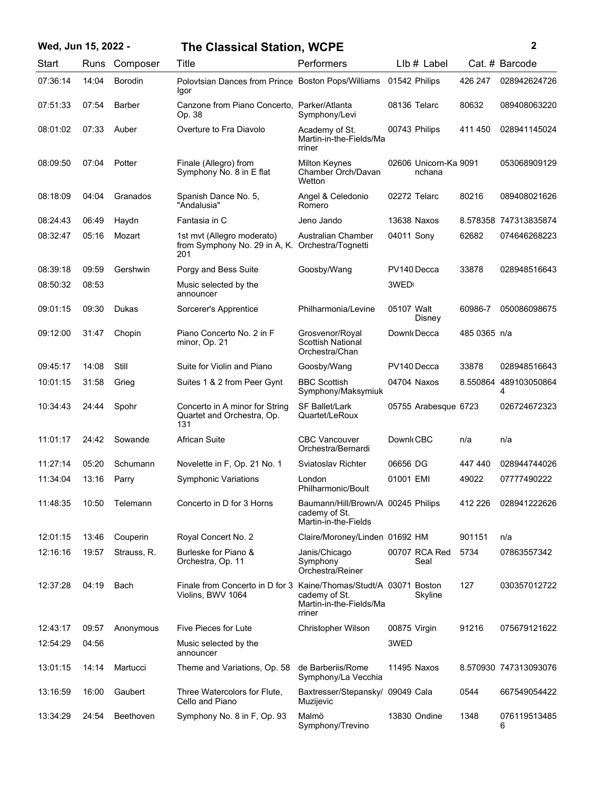|  |  |  | Wed, Jun 15, 2022 - |  |
|--|--|--|---------------------|--|
|--|--|--|---------------------|--|

## **Wed, Jun 15, 2022 - 2 The Classical Station, WCPE**

|  |  | i |  |
|--|--|---|--|
|  |  |   |  |
|  |  |   |  |

| Start    | Runs  | Composer      | Title                                                                                  | Performers                                                                  | $Llb#$ Label                    |              | Cat. # Barcode             |
|----------|-------|---------------|----------------------------------------------------------------------------------------|-----------------------------------------------------------------------------|---------------------------------|--------------|----------------------------|
| 07:36:14 | 14:04 | Borodin       | Polovtsian Dances from Prince Boston Pops/Williams 01542 Philips<br>Igor               |                                                                             |                                 | 426 247      | 028942624726               |
| 07:51:33 | 07:54 | <b>Barber</b> | Canzone from Piano Concerto, Parker/Atlanta<br>Op. 38                                  | Symphony/Levi                                                               | 08136 Telarc                    | 80632        | 089408063220               |
| 08:01:02 | 07:33 | Auber         | Overture to Fra Diavolo                                                                | Academy of St.<br>Martin-in-the-Fields/Ma<br>rriner                         | 00743 Philips                   | 411450       | 028941145024               |
| 08:09:50 | 07:04 | Potter        | Finale (Allegro) from<br>Symphony No. 8 in E flat                                      | <b>Milton Keynes</b><br>Chamber Orch/Davan<br>Wetton                        | 02606 Unicorn-Ka 9091<br>nchana |              | 053068909129               |
| 08:18:09 | 04:04 | Granados      | Spanish Dance No. 5,<br>"Andalusia"                                                    | Angel & Celedonio<br>Romero                                                 | 02272 Telarc                    | 80216        | 089408021626               |
| 08:24:43 | 06:49 | Haydn         | Fantasia in C                                                                          | Jeno Jando                                                                  | 13638 Naxos                     |              | 8.578358 747313835874      |
| 08:32:47 | 05:16 | Mozart        | 1st mvt (Allegro moderato)<br>from Symphony No. 29 in A, K. Orchestra/Tognetti<br>201  | <b>Australian Chamber</b>                                                   | 04011 Sony                      | 62682        | 074646268223               |
| 08:39:18 | 09:59 | Gershwin      | Porgy and Bess Suite                                                                   | Goosby/Wang                                                                 | PV140 Decca                     | 33878        | 028948516643               |
| 08:50:32 | 08:53 |               | Music selected by the<br>announcer                                                     |                                                                             | 3WED                            |              |                            |
| 09:01:15 | 09:30 | Dukas         | Sorcerer's Apprentice                                                                  | Philharmonia/Levine                                                         | 05107 Walt<br>Disney            | 60986-7      | 050086098675               |
| 09:12:00 | 31:47 | Chopin        | Piano Concerto No. 2 in F<br>minor, Op. 21                                             | Grosvenor/Royal<br><b>Scottish National</b><br>Orchestra/Chan               | Downk Decca                     | 485 0365 n/a |                            |
| 09:45:17 | 14:08 | Still         | Suite for Violin and Piano                                                             | Goosby/Wang                                                                 | PV140 Decca                     | 33878        | 028948516643               |
| 10:01:15 | 31:58 | Grieg         | Suites 1 & 2 from Peer Gynt                                                            | <b>BBC Scottish</b><br>Symphony/Maksymiuk                                   | 04704 Naxos                     |              | 8.550864 489103050864<br>4 |
| 10:34:43 | 24:44 | Spohr         | Concerto in A minor for String<br>Quartet and Orchestra, Op.<br>131                    | <b>SF Ballet/Lark</b><br>Quartet/LeRoux                                     | 05755 Arabesque 6723            |              | 026724672323               |
| 11:01:17 | 24:42 | Sowande       | <b>African Suite</b>                                                                   | <b>CBC Vancouver</b><br>Orchestra/Bernardi                                  | Downk CBC                       | n/a          | n/a                        |
| 11:27:14 | 05:20 | Schumann      | Novelette in F, Op. 21 No. 1                                                           | Sviatoslav Richter                                                          | 06656 DG                        | 447440       | 028944744026               |
| 11:34:04 | 13:16 | Parry         | <b>Symphonic Variations</b>                                                            | London<br>Philharmonic/Boult                                                | 01001 EMI                       | 49022        | 07777490222                |
| 11:48:35 | 10:50 | Telemann      | Concerto in D for 3 Horns                                                              | Baumann/Hill/Brown/A 00245 Philips<br>cademy of St.<br>Martin-in-the-Fields |                                 | 412 226      | 028941222626               |
| 12:01:15 | 13:46 | Couperin      | Royal Concert No. 2                                                                    | Claire/Moroney/Linden 01692 HM                                              |                                 | 901151       | n/a                        |
| 12:16:16 | 19:57 | Strauss, R.   | Burleske for Piano &<br>Orchestra, Op. 11                                              | Janis/Chicago<br>Symphony<br>Orchestra/Reiner                               | 00707 RCA Red<br>Seal           | 5734         | 07863557342                |
| 12:37:28 | 04:19 | Bach          | Finale from Concerto in D for 3 Kaine/Thomas/Studt/A 03071 Boston<br>Violins, BWV 1064 | cademy of St.<br>Martin-in-the-Fields/Ma<br>rriner                          | Skyline                         | 127          | 030357012722               |
| 12:43:17 | 09:57 | Anonymous     | <b>Five Pieces for Lute</b>                                                            | Christopher Wilson                                                          | 00875 Virgin                    | 91216        | 075679121622               |
| 12:54:29 | 04:56 |               | Music selected by the<br>announcer                                                     |                                                                             | 3WED                            |              |                            |
| 13:01:15 | 14:14 | Martucci      | Theme and Variations, Op. 58                                                           | de Barberiis/Rome<br>Symphony/La Vecchia                                    | 11495 Naxos                     |              | 8.570930 747313093076      |
| 13:16:59 | 16:00 | Gaubert       | Three Watercolors for Flute,<br>Cello and Piano                                        | Baxtresser/Stepansky/ 09049 Cala<br>Muzijevic                               |                                 | 0544         | 667549054422               |
| 13:34:29 | 24:54 | Beethoven     | Symphony No. 8 in F, Op. 93                                                            | Malmö<br>Symphony/Trevino                                                   | 13830 Ondine                    | 1348         | 076119513485<br>6          |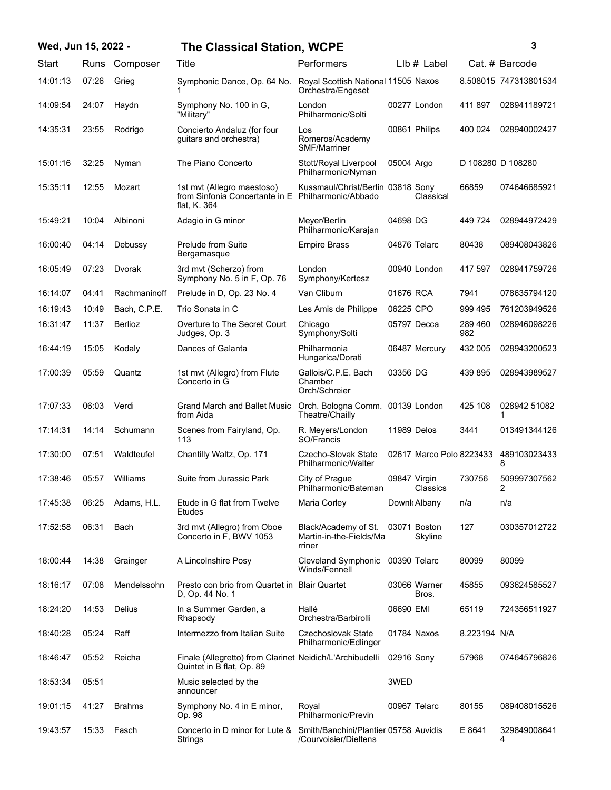## **Wed, Jun 15, 2022 - 3 The Classical Station, WCPE**

| ٦ |
|---|
|   |
|   |
| I |

| Start    | Runs  | Composer      | Title                                                                                            | Performers                                                             | $Llb#$ Label             |                | Cat. # Barcode        |
|----------|-------|---------------|--------------------------------------------------------------------------------------------------|------------------------------------------------------------------------|--------------------------|----------------|-----------------------|
| 14:01:13 | 07:26 | Grieg         | Symphonic Dance, Op. 64 No.                                                                      | Royal Scottish National 11505 Naxos<br>Orchestra/Engeset               |                          |                | 8.508015 747313801534 |
| 14:09:54 | 24:07 | Haydn         | Symphony No. 100 in G,<br>"Military"                                                             | London<br>Philharmonic/Solti                                           | 00277 London             | 411897         | 028941189721          |
| 14:35:31 | 23:55 | Rodrigo       | Concierto Andaluz (for four<br>guitars and orchestra)                                            | Los<br>Romeros/Academy<br><b>SMF/Marriner</b>                          | 00861 Philips            | 400 024        | 028940002427          |
| 15:01:16 | 32:25 | Nyman         | The Piano Concerto                                                                               | Stott/Royal Liverpool<br>Philharmonic/Nyman                            | 05004 Argo               |                | D 108280 D 108280     |
| 15:35:11 | 12:55 | Mozart        | 1st mvt (Allegro maestoso)<br>from Sinfonia Concertante in E Philharmonic/Abbado<br>flat, K. 364 | Kussmaul/Christ/Berlin 03818 Sony                                      | Classical                | 66859          | 074646685921          |
| 15:49:21 | 10:04 | Albinoni      | Adagio in G minor                                                                                | Meyer/Berlin<br>Philharmonic/Karajan                                   | 04698 DG                 | 449 724        | 028944972429          |
| 16:00:40 | 04:14 | Debussy       | Prelude from Suite<br>Bergamasque                                                                | <b>Empire Brass</b>                                                    | 04876 Telarc             | 80438          | 089408043826          |
| 16:05:49 | 07:23 | Dvorak        | 3rd mvt (Scherzo) from<br>Symphony No. 5 in F, Op. 76                                            | London<br>Symphony/Kertesz                                             | 00940 London             | 417 597        | 028941759726          |
| 16:14:07 | 04:41 | Rachmaninoff  | Prelude in D, Op. 23 No. 4                                                                       | Van Cliburn                                                            | 01676 RCA                | 7941           | 078635794120          |
| 16:19:43 | 10:49 | Bach, C.P.E.  | Trio Sonata in C                                                                                 | Les Amis de Philippe                                                   | 06225 CPO                | 999 495        | 761203949526          |
| 16:31:47 | 11:37 | Berlioz       | Overture to The Secret Court<br>Judges, Op. 3                                                    | Chicago<br>Symphony/Solti                                              | 05797 Decca              | 289 460<br>982 | 028946098226          |
| 16:44:19 | 15:05 | Kodaly        | Dances of Galanta                                                                                | Philharmonia<br>Hungarica/Dorati                                       | 06487 Mercury            | 432 005        | 028943200523          |
| 17:00:39 | 05:59 | Quantz        | 1st mvt (Allegro) from Flute<br>Concerto in G                                                    | Gallois/C.P.E. Bach<br>Chamber<br>Orch/Schreier                        | 03356 DG                 | 439 895        | 028943989527          |
| 17:07:33 | 06:03 | Verdi         | <b>Grand March and Ballet Music</b><br>from Aida                                                 | Orch. Bologna Comm. 00139 London<br>Theatre/Chailly                    |                          | 425 108        | 028942 51082<br>1     |
| 17:14:31 | 14:14 | Schumann      | Scenes from Fairyland, Op.<br>113                                                                | R. Meyers/London<br>SO/Francis                                         | 11989 Delos              | 3441           | 013491344126          |
| 17:30:00 | 07:51 | Waldteufel    | Chantilly Waltz, Op. 171                                                                         | Czecho-Slovak State<br>Philharmonic/Walter                             | 02617 Marco Polo 8223433 |                | 489103023433<br>8     |
| 17:38:46 | 05:57 | Williams      | Suite from Jurassic Park                                                                         | City of Prague<br>Philharmonic/Bateman                                 | 09847 Virgin<br>Classics | 730756         | 509997307562<br>2     |
| 17:45:38 | 06:25 | Adams, H.L.   | Etude in G flat from Twelve<br><b>Etudes</b>                                                     | Maria Corley                                                           | Downk Albany             | n/a            | n/a                   |
| 17:52:58 | 06:31 | Bach          | 3rd mvt (Allegro) from Oboe<br>Concerto in F, BWV 1053                                           | Black/Academy of St. 03071 Boston<br>Martin-in-the-Fields/Ma<br>rriner | Skyline                  | 127            | 030357012722          |
| 18:00:44 | 14:38 | Grainger      | A Lincolnshire Posy                                                                              | Cleveland Symphonic 00390 Telarc<br>Winds/Fennell                      |                          | 80099          | 80099                 |
| 18:16:17 | 07:08 | Mendelssohn   | Presto con brio from Quartet in Blair Quartet<br>D. Op. 44 No. 1                                 |                                                                        | 03066 Warner<br>Bros.    | 45855          | 093624585527          |
| 18:24:20 | 14:53 | <b>Delius</b> | In a Summer Garden, a<br>Rhapsody                                                                | Hallé<br>Orchestra/Barbirolli                                          | 06690 EMI                | 65119          | 724356511927          |
| 18:40:28 | 05:24 | Raff          | Intermezzo from Italian Suite                                                                    | Czechoslovak State<br>Philharmonic/Edlinger                            | 01784 Naxos              | 8.223194 N/A   |                       |
| 18:46:47 | 05:52 | Reicha        | Finale (Allegretto) from Clarinet Neidich/L'Archibudelli<br>Quintet in B flat, Op. 89            |                                                                        | 02916 Sony               | 57968          | 074645796826          |
| 18:53:34 | 05:51 |               | Music selected by the<br>announcer                                                               |                                                                        | 3WED                     |                |                       |
| 19:01:15 | 41:27 | <b>Brahms</b> | Symphony No. 4 in E minor,<br>Op. 98                                                             | Royal<br>Philharmonic/Previn                                           | 00967 Telarc             | 80155          | 089408015526          |
| 19:43:57 | 15:33 | Fasch         | Concerto in D minor for Lute & Smith/Banchini/Plantier 05758 Auvidis<br>Strings                  | /Courvoisier/Dieltens                                                  |                          | E 8641         | 329849008641<br>4     |